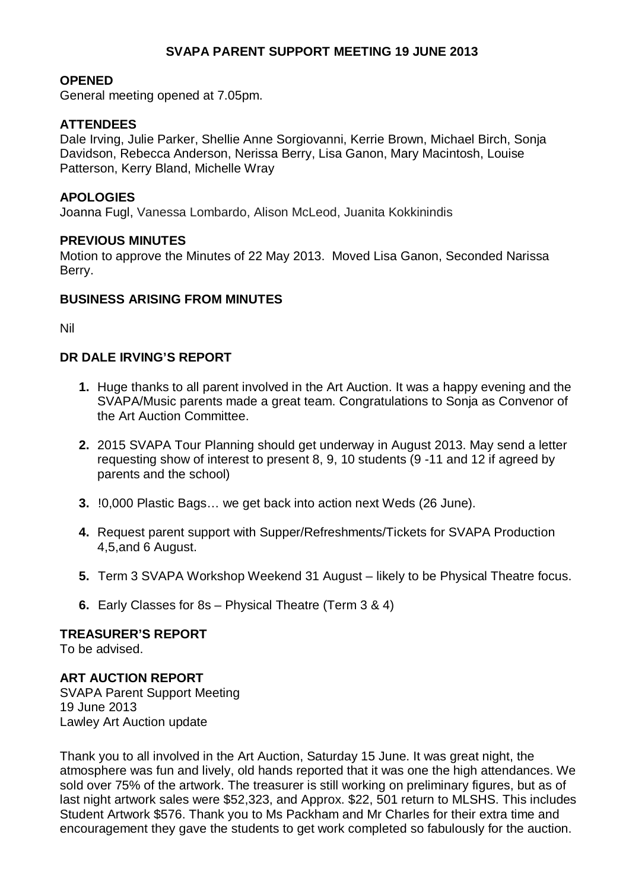## **SVAPA PARENT SUPPORT MEETING 19 JUNE 2013**

#### **OPENED**

General meeting opened at 7.05pm.

#### **ATTENDEES**

Dale Irving, Julie Parker, Shellie Anne Sorgiovanni, Kerrie Brown, Michael Birch, Sonja Davidson, Rebecca Anderson, Nerissa Berry, Lisa Ganon, Mary Macintosh, Louise Patterson, Kerry Bland, Michelle Wray

#### **APOLOGIES**

Joanna Fugl, Vanessa Lombardo, Alison McLeod, Juanita Kokkinindis

#### **PREVIOUS MINUTES**

Motion to approve the Minutes of 22 May 2013. Moved Lisa Ganon, Seconded Narissa Berry.

### **BUSINESS ARISING FROM MINUTES**

Nil

#### **DR DALE IRVING'S REPORT**

- **1.** Huge thanks to all parent involved in the Art Auction. It was a happy evening and the SVAPA/Music parents made a great team. Congratulations to Sonja as Convenor of the Art Auction Committee.
- **2.** 2015 SVAPA Tour Planning should get underway in August 2013. May send a letter requesting show of interest to present 8, 9, 10 students (9 -11 and 12 if agreed by parents and the school)
- **3.** !0,000 Plastic Bags… we get back into action next Weds (26 June).
- **4.** Request parent support with Supper/Refreshments/Tickets for SVAPA Production 4,5,and 6 August.
- **5.** Term 3 SVAPA Workshop Weekend 31 August likely to be Physical Theatre focus.
- **6.** Early Classes for 8s Physical Theatre (Term 3 & 4)

## **TREASURER'S REPORT**

To be advised.

## **ART AUCTION REPORT**

SVAPA Parent Support Meeting 19 June 2013 Lawley Art Auction update

Thank you to all involved in the Art Auction, Saturday 15 June. It was great night, the atmosphere was fun and lively, old hands reported that it was one the high attendances. We sold over 75% of the artwork. The treasurer is still working on preliminary figures, but as of last night artwork sales were \$52,323, and Approx. \$22, 501 return to MLSHS. This includes Student Artwork \$576. Thank you to Ms Packham and Mr Charles for their extra time and encouragement they gave the students to get work completed so fabulously for the auction.